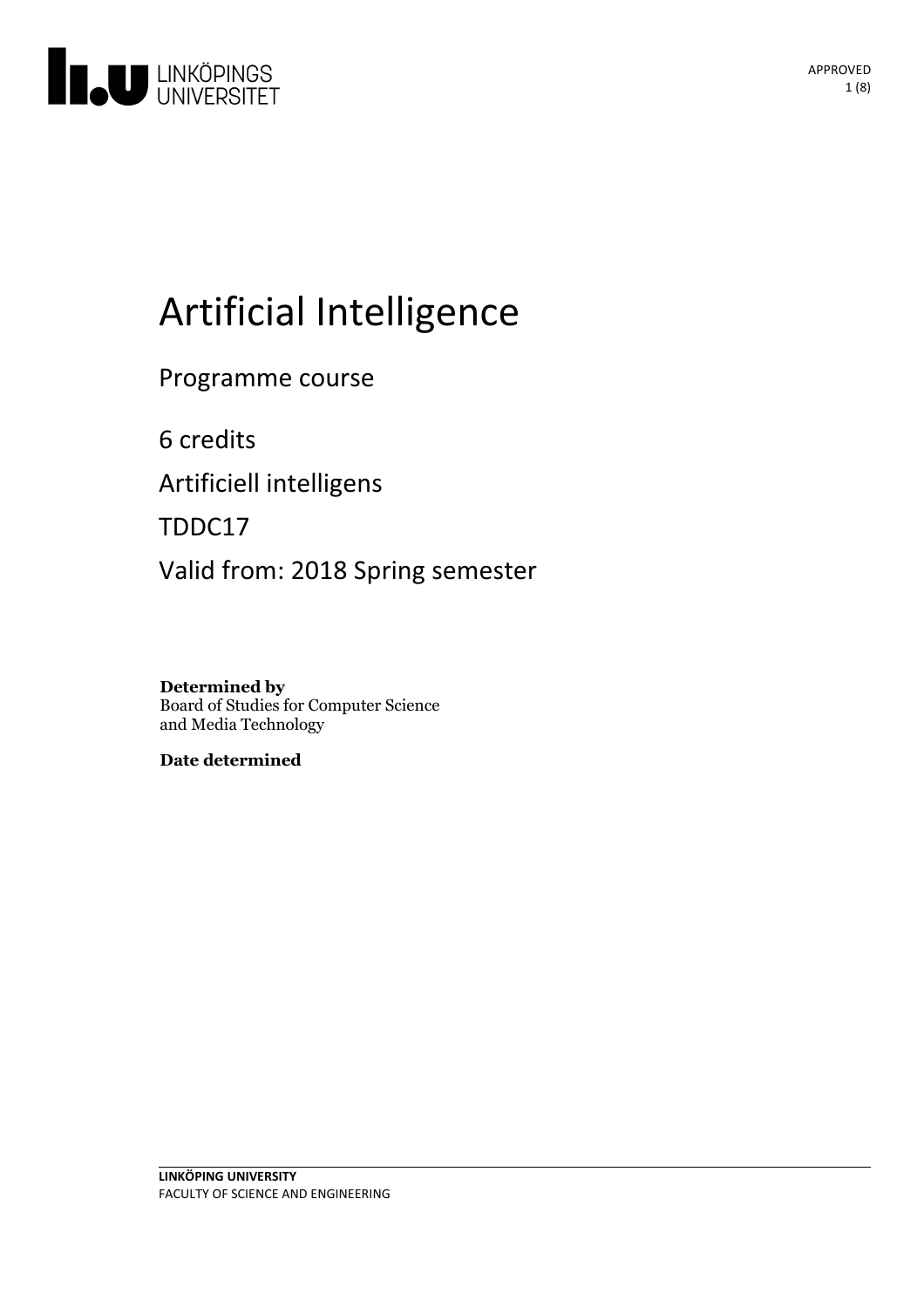

# Artificial Intelligence

Programme course

6 credits

Artificiell intelligens

TDDC17

Valid from: 2018 Spring semester

**Determined by** Board of Studies for Computer Science and Media Technology

**Date determined**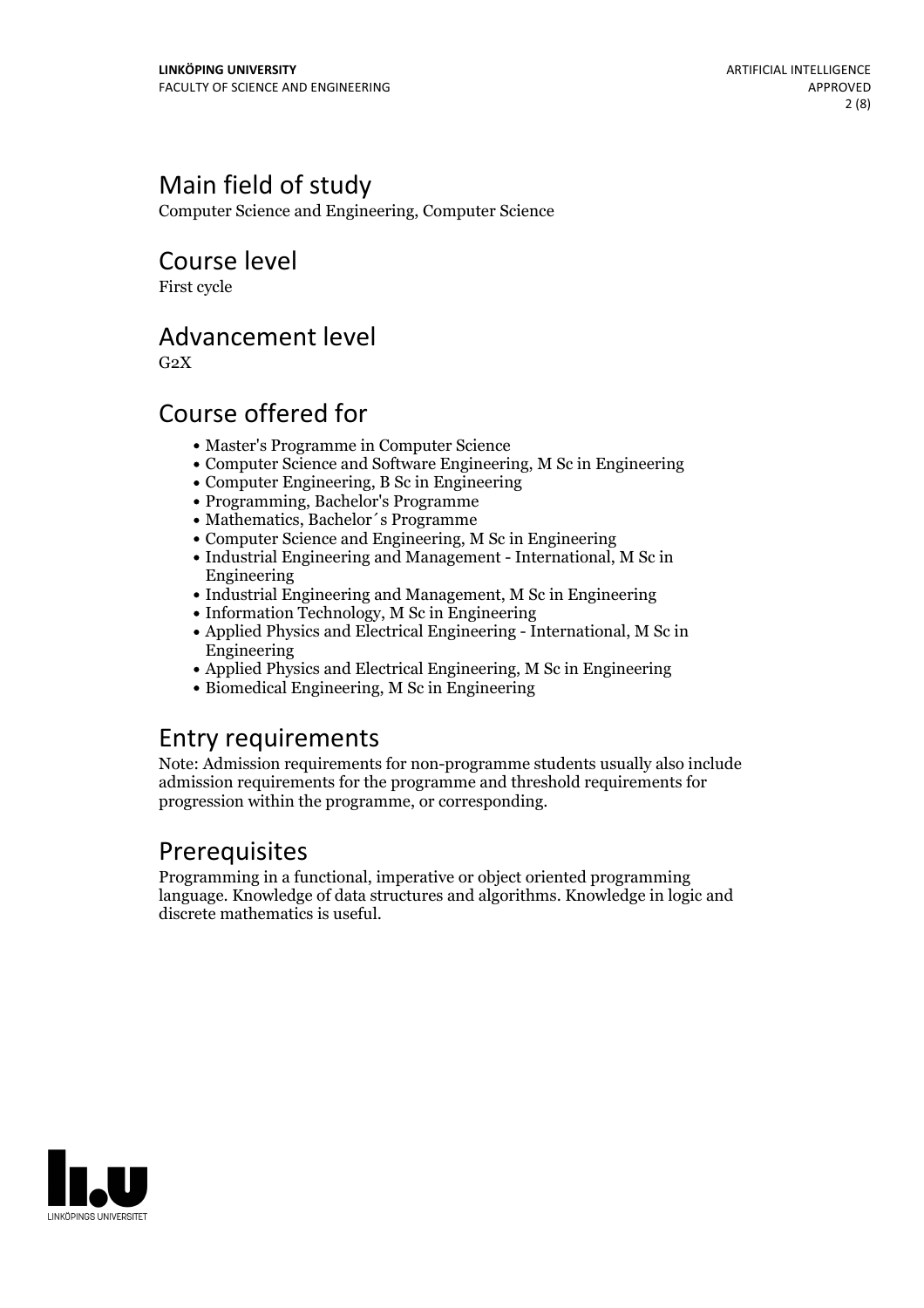# Main field of study

Computer Science and Engineering, Computer Science

Course level

First cycle

### Advancement level

 $G<sub>2</sub>X$ 

# Course offered for

- Master's Programme in Computer Science
- Computer Science and Software Engineering, M Sc in Engineering
- Computer Engineering, B Sc in Engineering
- Programming, Bachelor's Programme
- Mathematics, Bachelor´s Programme
- Computer Science and Engineering, M Sc in Engineering
- Industrial Engineering and Management International, M Sc in Engineering
- Industrial Engineering and Management, M Sc in Engineering
- Information Technology, M Sc in Engineering
- Applied Physics and Electrical Engineering International, M Sc in Engineering
- Applied Physics and Electrical Engineering, M Sc in Engineering
- Biomedical Engineering, M Sc in Engineering

### Entry requirements

Note: Admission requirements for non-programme students usually also include admission requirements for the programme and threshold requirements for progression within the programme, or corresponding.

### Prerequisites

Programming in a functional, imperative or object oriented programming language. Knowledge of data structures and algorithms. Knowledge in logic and discrete mathematics is useful.

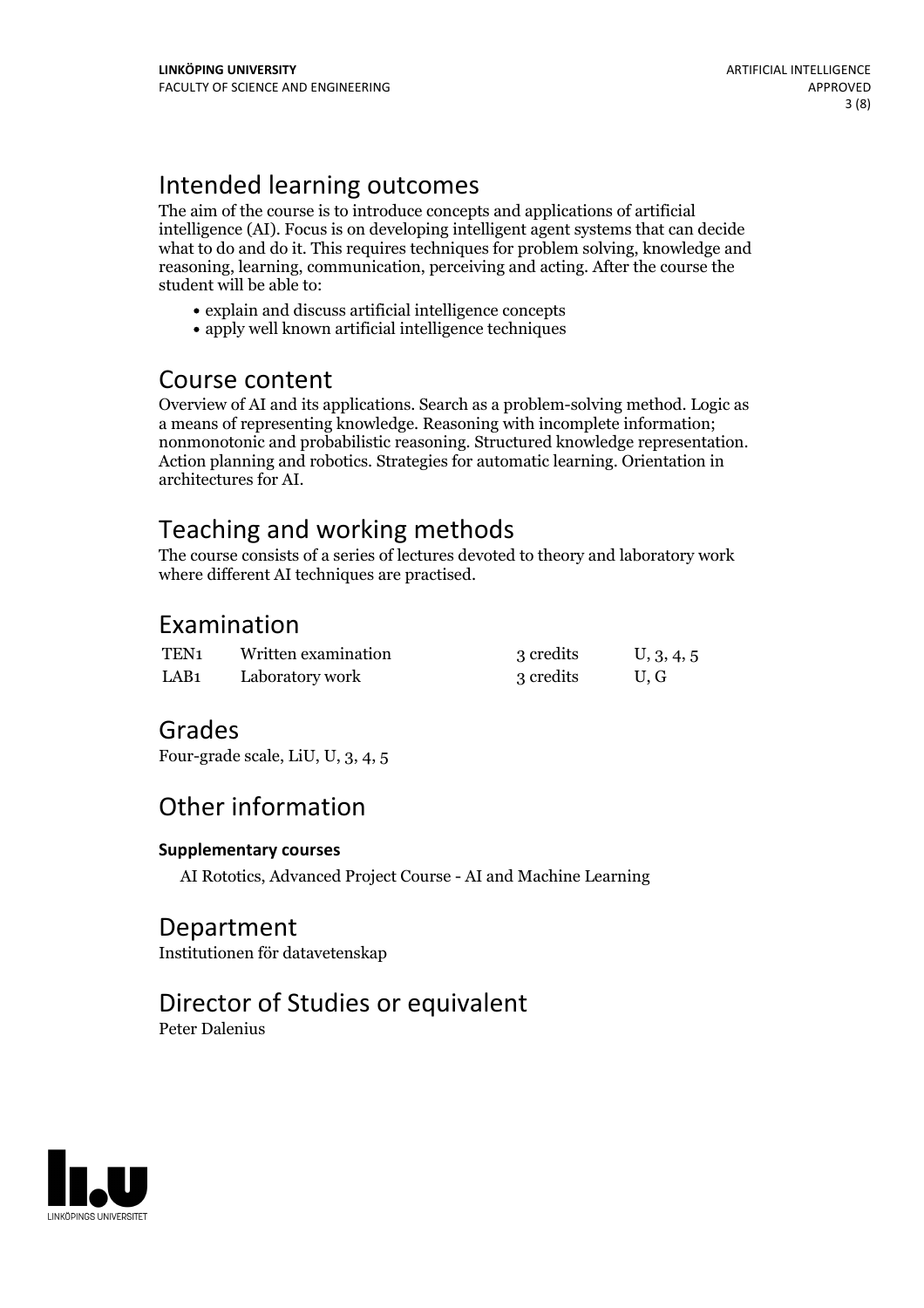# Intended learning outcomes

The aim of the course is to introduce concepts and applications of artificial intelligence (AI). Focus is on developing intelligent agent systems that can decide what to do and do it. This requires techniques for problem solving, knowledge and reasoning, learning, communication, perceiving and acting. After the course the student will be able to:

- explain and discuss artificial intelligence concepts
- apply well known artificial intelligence techniques

# Course content

Overview of AI and its applications. Search as a problem-solving method. Logic as a means of representing knowledge. Reasoning with incomplete information; nonmonotonic and probabilistic reasoning. Structured knowledge representation. Action planning and robotics. Strategies for automatic learning. Orientation in architectures for AI.

# Teaching and working methods

The course consists of a series of lectures devoted to theory and laboratory work where different AI techniques are practised.

### Examination

| TEN <sub>1</sub> | Written examination | 3 credits | U, 3, 4, 5 |
|------------------|---------------------|-----------|------------|
| LAB <sub>1</sub> | Laboratory work     | 3 credits | U.G        |

### Grades

Four-grade scale, LiU, U, 3, 4, 5

# Other information

#### **Supplementarycourses**

AI Rototics, Advanced Project Course - AI and Machine Learning

### Department

Institutionen för datavetenskap

### Director of Studies or equivalent

Peter Dalenius

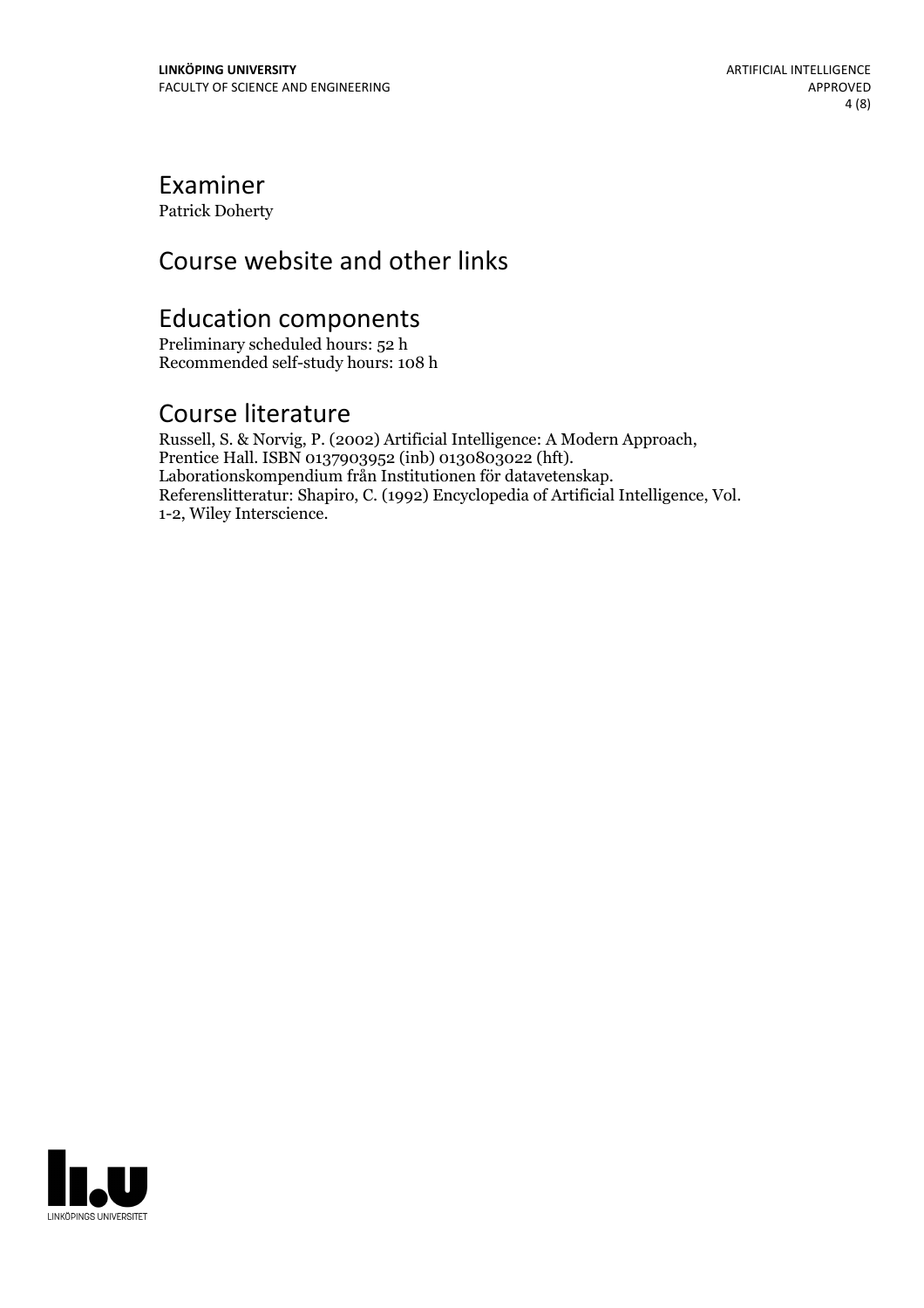# Examiner

Patrick Doherty

# Course website and other links

### Education components

Preliminary scheduled hours: 52 h Recommended self-study hours: 108 h

### Course literature

Russell, S. & Norvig, P. (2002) Artificial Intelligence: A Modern Approach,<br>Prentice Hall. ISBN 0137903952 (inb) 0130803022 (hft).<br>Laborationskompendium från Institutionen för datavetenskap.<br>Referenslitteratur: Shapiro, C.

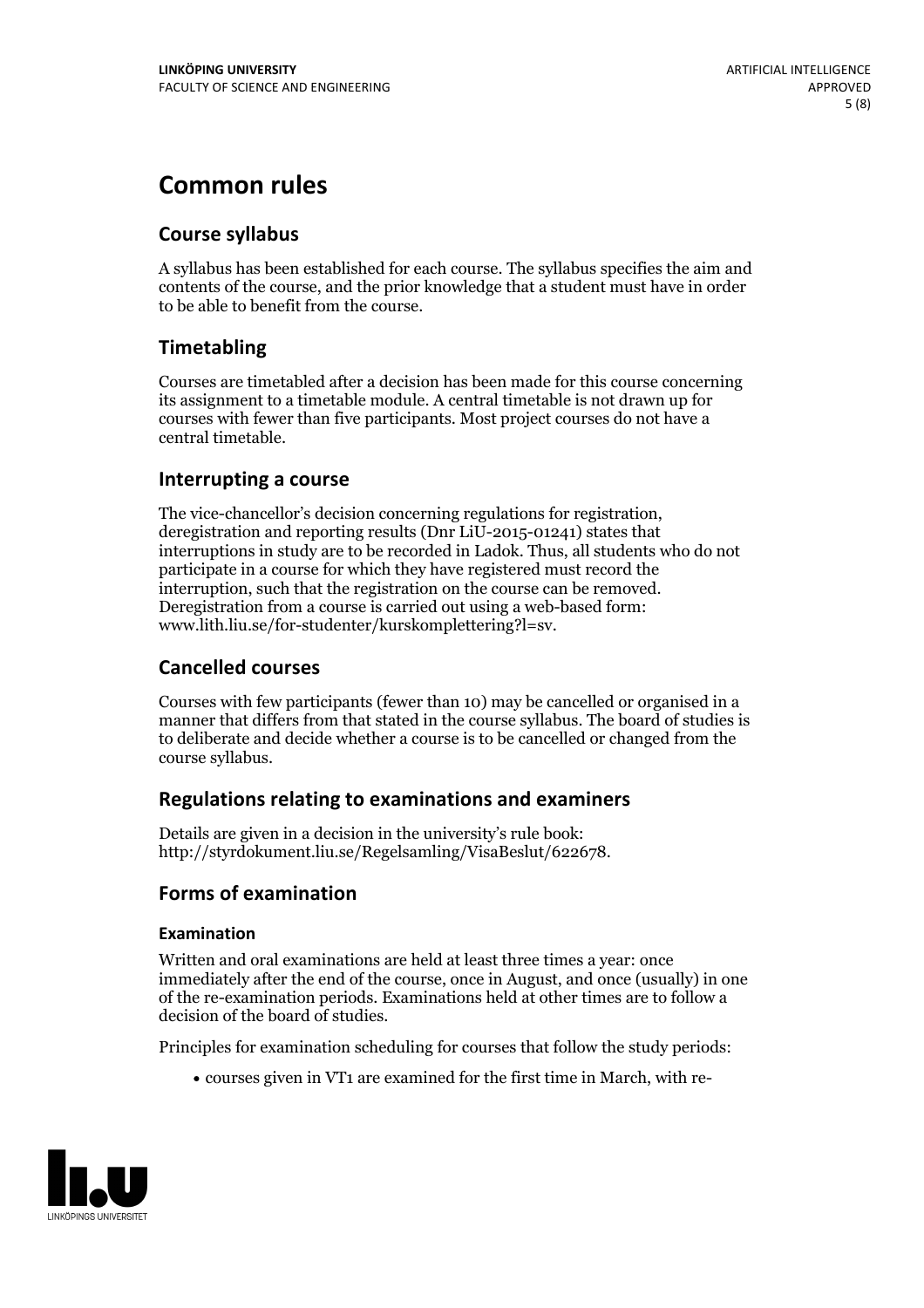# **Common rules**

#### **Course syllabus**

A syllabus has been established for each course. The syllabus specifies the aim and contents of the course, and the prior knowledge that a student must have in order to be able to benefit from the course.

#### **Timetabling**

Courses are timetabled after a decision has been made for this course concerning its assignment to a timetable module. A central timetable is not drawn up for courses with fewer than five participants. Most project courses do not have a central timetable.

#### **Interrupting a course**

The vice-chancellor's decision concerning regulations for registration, deregistration and reporting results (Dnr LiU-2015-01241) states that interruptions in study are to be recorded in Ladok. Thus, all students who do not participate in a course for which they have registered must record the interruption, such that the registration on the course can be removed. Deregistration from <sup>a</sup> course is carried outusing <sup>a</sup> web-based form: www.lith.liu.se/for-studenter/kurskomplettering?l=sv.

#### **Cancelled courses**

Courses with few participants (fewer than 10) may be cancelled or organised in a manner that differs from that stated in the course syllabus. The board of studies is to deliberate and decide whether a course is to be cancelled orchanged from the course syllabus.

#### **Regulations relatingto examinations and examiners**

Details are given in a decision in the university's rule book: http://styrdokument.liu.se/Regelsamling/VisaBeslut/622678.

#### **Forms of examination**

#### **Examination**

Written and oral examinations are held at least three times a year: once immediately after the end of the course, once in August, and once (usually) in one of the re-examination periods. Examinations held at other times are to follow a decision of the board of studies.

Principles for examination scheduling for courses that follow the study periods:

courses given in VT1 are examined for the first time in March, with re-

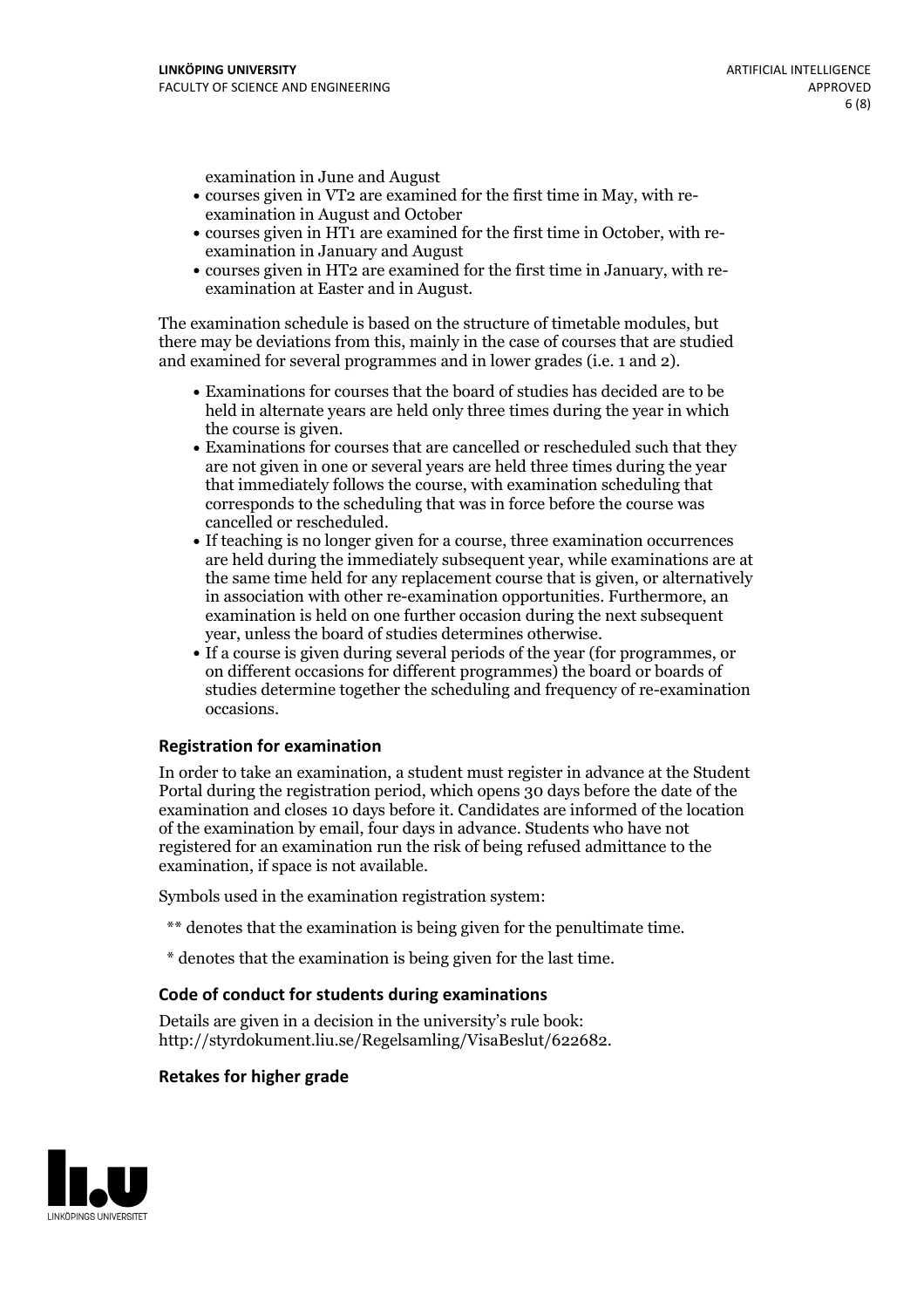examination in June and August

- courses given in VT2 are examined for the first time in May, with re-examination in August and October
- courses given in HT1 are examined for the first time in October, with re-examination in January and August
- courses given in HT2 are examined for the first time in January, with re-examination at Easter and in August.

The examination schedule is based on the structure of timetable modules, but there may be deviations from this, mainly in the case of courses that are studied and examined for several programmes and in lower grades (i.e. 1 and 2).

- Examinations for courses that the board of studies has decided are to be held in alternate years are held only three times during the year in which
- the course is given.<br>• Examinations for courses that are cancelled or rescheduled such that they are not given in one or several years are held three times during the year that immediately follows the course, with examination scheduling that corresponds to the scheduling that was in force before the course was cancelled or rescheduled.<br>• If teaching is no longer given for a course, three examination occurrences
- are held during the immediately subsequent year, while examinations are at the same time held for any replacement course that is given, or alternatively in association with other re-examination opportunities. Furthermore, an examination is held on one further occasion during the next subsequent year, unless the board of studies determines otherwise.<br>• If a course is given during several periods of the year (for programmes, or
- on different occasions for different programmes) the board orboards of studies determine together the scheduling and frequency of re-examination occasions.

#### **Registration for examination**

In order to take an examination, a student must register in advance at the Student Portal during the registration period, which opens 30 days before the date of the examination and closes 10 days before it. Candidates are informed of the location of the examination by email, four days in advance. Students who have not registered for an examination run the risk of being refused admittance to the examination, if space is not available.

Symbols used in the examination registration system:

- \*\* denotes that the examination is being given for the penultimate time.
- \* denotes that the examination is being given for the last time.

#### **Code of conduct for students during examinations**

Details are given in a decision in the university's rule book: http://styrdokument.liu.se/Regelsamling/VisaBeslut/622682.

#### **Retakes for higher grade**

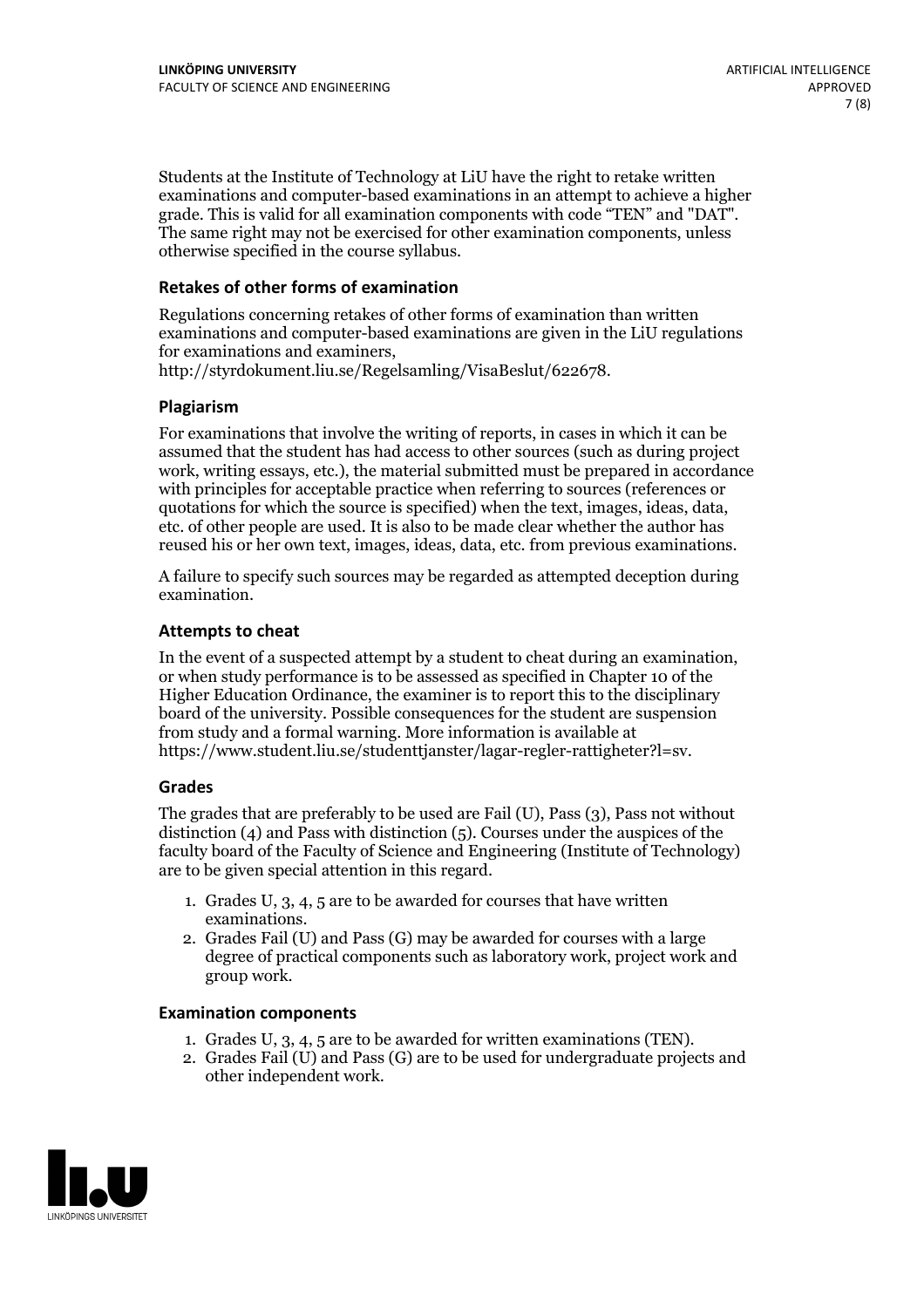Students at the Institute of Technology at LiU have the right to retake written examinations and computer-based examinations in an attempt to achieve a higher grade. This is valid for all examination components with code "TEN" and "DAT". The same right may not be exercised for other examination components, unless otherwise specified in the course syllabus.

#### **Retakes of other forms of examination**

Regulations concerning retakes of other forms of examination than written examinations and computer-based examinations are given in the LiU regulations for examinations and examiners, http://styrdokument.liu.se/Regelsamling/VisaBeslut/622678.

#### **Plagiarism**

For examinations that involve the writing of reports, in cases in which it can be assumed that the student has had access to other sources (such as during project work, writing essays, etc.), the material submitted must be prepared in accordance with principles for acceptable practice when referring to sources (references or quotations for which the source is specified) when the text, images, ideas, data, etc. of other people are used. It is also to be made clear whether the author has reused his or her own text, images, ideas, data, etc. from previous examinations.

A failure to specify such sources may be regarded as attempted deception during examination.

#### **Attempts to cheat**

In the event of <sup>a</sup> suspected attempt by <sup>a</sup> student to cheat during an examination, or when study performance is to be assessed as specified in Chapter <sup>10</sup> of the Higher Education Ordinance, the examiner is to report this to the disciplinary board of the university. Possible consequences for the student are suspension from study and a formal warning. More information is available at https://www.student.liu.se/studenttjanster/lagar-regler-rattigheter?l=sv.

#### **Grades**

The grades that are preferably to be used are Fail (U), Pass (3), Pass not without distinction  $(4)$  and Pass with distinction  $(5)$ . Courses under the auspices of the faculty board of the Faculty of Science and Engineering (Institute of Technology) are to be given special attention in this regard.

- 1. Grades U, 3, 4, 5 are to be awarded for courses that have written
- examinations. 2. Grades Fail (U) and Pass (G) may be awarded for courses with <sup>a</sup> large degree of practical components such as laboratory work, project work and group work.

#### **Examination components**

- 
- 1. Grades U, 3, 4, <sup>5</sup> are to be awarded for written examinations (TEN). 2. Grades Fail (U) and Pass (G) are to be used for undergraduate projects and other independent work.